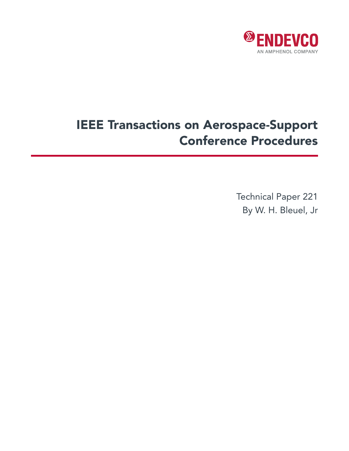

# IEEE Transactions on Aerospace-Support Conference Procedures

Technical Paper 221 By W. H. Bleuel, Jr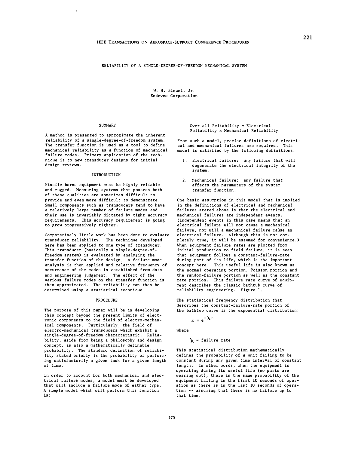W. H. Bleuel, Jr. Endevco Corporation

#### SUMMARY

A method is presented to approximate the inherent reliability of a single-degree-of-freedom system. The transfer function is used as a tool to define mechanical reliability as a function of mechanical failure modes. Primary application of the technique is to new transducer designs for initial design reviews.

### INTRODUCTION

Missile borne equipment must be highly reliable and rugged. Measuring systems that possess both of these qualities are sometimes difficult to provide and even more difficult to demonstrate. Small components such as transducers tend to have *a* relatively large number of failure modes and their use is invariably dictated by tight accuracy requirements. This accuracy requirement is going to grow progressively tighter.

Comparatively little work has been done to evaluate transducer reliability. The technique developed here has been applied to one type of transducer. This transducer (basically a single-degree-offreedom system) is evaluated by analyzing the transfer function of the design. A failure mode analysis is then applied and relative frequency of occurrence of the modes is established from data and engineering judgement. The effect of the various failure modes on the transfer function is then approximated. The reliability can then be determined using a statistical technique.

#### PROCEDURE

The purpose of this paper will be in developing this concept beyond the present limits of electronic components to the field of electro-mechanical components. Particularly, the field of electro-mechanical transducers which exhibit *a*  single-degree-of-freedom characteristic. Reliability, aside from being a philosophy and design concept, is also a mathematically definable probability. The standard definition of reliability stated briefly is the probability of performing satisfactorily a given task for a given length of time.

In order to account for both mechanical and electrical failure modes, a model must be developed that will include a failure mode of either type. A simple model which will perform this function is:

Over-all Reliability = Electrical Reliability x Mechanical Reliability

From such a model, precise definitions of electrical and mechanical failures are required. This model is satisfied by the following definitions:

- 1. Electrical failure: any failure that will degenerate the electrical integrity of the system.
- 2. Mechanical failure: any failure that affects the parameters of the system transfer function.

One basic assumption in this model that is implied in the definitions of electrical and mechanical failures stated above is that the electrical and mechanical failures are independent events. (Independent events in this case means that an electrical failure will not cause a mechanical failure, nor will a mechanical failure cause an electrical failure. Although this is not completely true, it will be assumed for convenience.) When equipment failure rates are plotted from initiai production to field failure, it is seen that equipment follows a constant-failure-rate during part of its life, which is the important concept here. This useful life is also known as the normal operating portion, Poissori portion and the random-failure portion as well as the constant rate portion. This failure rate curve of equipment describes the classic bathtub curve of reliability engineering. Figure 1.

The statistical frequency distribution that describes the constant-failure-rate portion of the bathtub curve is the exponential distribution:

 $R = e^{-\lambda t}$ 

where

 $\lambda$  = failure rate

This statistical distribution mathematically defines the probability of a unit failing to be constant during any given time interval of constant length. In other words, when the equipment is operating during its useful life (no parts are wearing out), there is the same probability of the equipment failing in the first 10 seconds of operation as there is in the last 10 seconds of operation -- assuming that there is no failure up to that time.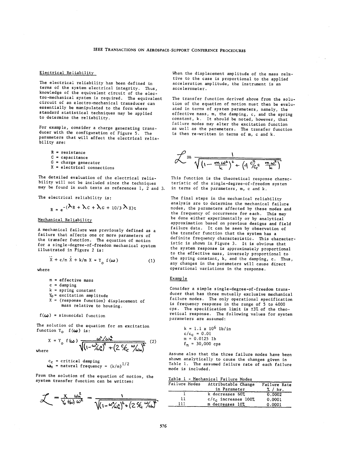# Electrical Reliability

The electrical reliability has been defined in terms of the system electrical integrity. Thus, knowledge of the equivalent circuit of the electro-mechanical system is required. The equivalent circuit of an electro-mechanical transducer can essentially be manipulated to the form where standard statistical techniques may be applied to determine the reliability.

For example, consider a charge generating transducer with the configuration of Figure 5. The parameters that will affect the electrical reliability are:

- $R = resistance$  $C = capacitance$  $G = charge generator$
- $X =$  electrical connections

 $\sim 10^{-11}$ 

The detailed evaluation of the electrical reliability will not be included since the techniques may be found in such texts as references 1, 2 and 3.

The electrical reliability is:

 $\mathbf{r}$ 

$$
R_{\rm B} = e^{-(\lambda_{\rm R} + \lambda_{\rm C} + \lambda_{\rm G} + 10/3 \lambda_{\rm X})t}
$$

## Mechanical Reliability

A mechanical failure was previously defined as a failure that affects one or more parameters of the transfer function. The equation of motion for a single-degree-of-freedom mechanical system illustrated in Figure 2 is:

$$
X + c/m X + k/m X = Y_0 f(\omega)
$$
 (1)

where

wher

 $\ddot{\phantom{a}}$ 

 $m =$  effective mass

 $\sim$ 

- $c =$  damping
- $k =$  spring constant
- $Y_0$  = excitation amplitude
- $X =$  (response function) displacement of mass relative to housing.

 $f(\boldsymbol{\omega})$  = sinusoidal function

The solution of the equation for an excitation function  $Y_0$   $f(\omega)$  is:

$$
X = Y_0 f(\omega) \frac{\omega^2/\omega_n^2}{\sqrt{(1-\omega_{\omega_n}^2)^2 + (2\epsilon_{\omega_n}^2 - \omega_{\omega_n}^2)^2}}
$$
 (2)

 $c_c$  = critical damping  $\omega_n$  = natural frequency =  $(k/m)^{1/2}$ 

From the solution of the equation of motion, the system transfer function can be written:

$$
\mathcal{L} = \frac{\chi}{\gamma_0' t(\omega)} \frac{\omega_n^2}{\omega^2} = \frac{1}{\sqrt{(1 - \omega_{\text{A}}^2 \lambda_1^2 + (2 \frac{\omega_{\text{C}}^2}{\omega_{\text{A}}})^2 + (2 \frac{\omega_{\text{C}}^2}{\omega_{\text{A}}})^2}}
$$

When the displacement amplitude of the mass relative to the case is proportional to the applied acceleration amplitude, the instrument is an accelerometer.

The transfer function derived above from the solution of the equation of motion must then be evaluated in terms of system parameters, namely, the effective mass, m, the damping, c, and the spring constant, k. It should be noted, however, that failure modes may alter the excitation function<br>as well as the parameters. The transfer function is then re-written in terms of m, c and k.

$$
\mathcal{L} = \frac{1}{\sqrt{\left(1 - \frac{m \omega^2}{k}\right)^2 + \left(4 \frac{c_c^2}{c_c^2} - \frac{m \omega^2}{k}\right)}}
$$

This function is the theoretical response characteristic of the single-degree-of-freedom system in terms of the parameters, m, c and k.

The final steps in the mechanical reliability analysis are to determine the mechanical failure modes, the parameters affected by these modes and the frequency of occurrence for each. This may be done either experimentally or by analytical approximation based on previous designs and field failure data. It can be seen by observation of the transfer function that the system has a definite frequency characteristic. This characteristic is shown in Figure 3. It is obvious that the system response is approximately proportional to the effective mass, inversely proportional to the spring constant, k, and the damping, c. Thus, any changes in the parameters will cause direct operational variations in the response.

#### **Example**

Consider a simple single-degree-of-freedom transducer that has three mutually exclusive mechanical failure modes. The only operational specification is frequency response in the range of 5 to 4000 cps. The specification limit is ±3% of the theoretical response. The following values for system parameters are assumed:

$$
k = 1.1 \times 10^{6} \text{ lb/in}
$$
  
c/c<sub>c</sub> = 0.01  
m = 0.0125 lb  
 $f_n$  = 30,000 cps

Assume also that the three failure modes have been shown analytically to cause the changes given in Table 1. The assumed failure rate of each failure mode is included.

| Table l - | Mechanical Failure Modes |  |  |
|-----------|--------------------------|--|--|
|           |                          |  |  |

| Failure Modes | Attributable Change    | Failure Rate |
|---------------|------------------------|--------------|
|               | in Parameter           | % / hr.      |
|               | k decreases 60%        | 0.0002       |
| 11            | $c/c_c$ increases 100% | 0.0001       |
| 111           | m decreases 10%        | 0.0001       |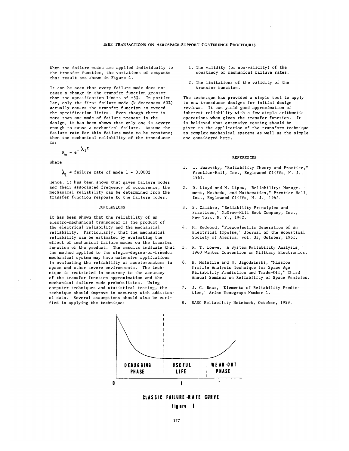When the failure modes are applied individually to the transfer function, the variations of response that result are shown in Figure 4.

It can be seen that every failure mode does not cause a change in the transfer function greater than the specification limits of ±3%. In particular, only the first failure mode (k decreases 60%) actually causes the transfer function to exceed the specification limits. Even though there is more than one mode of failure present in the design, it has been shown that only one is severe enough to cause a mechanical failure. Assume the failure rate for this failure mode to be constant; then the mechanical reliability of the transducer is:

$$
R_{m} = e^{-\lambda_{1}t}
$$

where

 $\lambda_1$  = failure rate of mode 1 = 0.0002

Hence, it has been shown that given failure modes and their associated frequency of occurrence, the mechanical reliability can be determined from the transfer function response to the failure modes.

### CONCLUSIONS

It has been shown that the reliability of an electro-mechanical transducer is the product of the electrical reliability and the mechanical reliability. Particularly, that the mechanical reliability can be estimated by evaluating the effect of mechanical failure modes on the transfer function of the product. The results indicate that the method applied to the single-degree-of-freedom mechanical system may have extensive applications in evaluating the reliability of accelerometers in space and other severe environments. The technique is restricted in accuracy to the accuracy of the transfer function approximation and the mechanical failure mode probabilities. Using computer techniques and statistical testing, the technique should improve in accuracy with additional data. Several assumptions should also be verified in applying the technique:

- 1. The validity (or non-validity) of the constancy of mechanical failure rates.
- 2. The limitations of the validity of the transfer function.

The technique has provided a simple tool to apply to new transducer designs for initial design reviews. It can yield good approximation of inherent reliability with a few simple arithmetic operations when given the transfer function. It is believed that extensive testing should be given to the application of the transform technique to complex mechanical systems as well as the simple one considered here.

#### **REFERENCES**

- 1. I. Bazovsky, "Reliability Theory and Practice," Prentice-Hall, Inc., Englewood Cliffs, N. J., 1961.
- 2. D. Lloyd and M. Lipow, "Reliability: Management, Methods, and Mathematics," Prentice-Hall, Inc., Englewood Cliffs, N. J., 1962.
- 3. S. Calabro, "Reliability Principles and<br>Practices," McGraw-Hill Book Company, Inc., New York, N. Y., 1962.
- 4. M. Redwood, "Piezoelectric Generation of an Electrical Impulse," Journal of the Acoustical Society of America, vol. 33, October, 1961.
- 5. R. T. Loewe, "A System Reliability Analysis," 1960 Winter Convention on Military Electronics.
- H. McIntire and N. Jagodzinski, 'Mission 6. Profile Analysis Technique for Space Age Reliability Prediction and Trade-Off," Third Annual Seminar on Reliability of Space Vehicles.
- J. C. Bear, "Elements of Reliability Predic- $7<sup>1</sup>$ tion," Arinc Monograph Number 4.
- 8. RADC Reliability Notebook, October, 1959.



# CLASSIC FAILURE RATE CURVE figure 1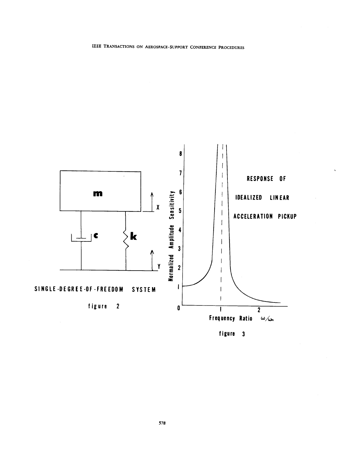

IEEE TRANSACTIONS ON AEROSPACE-SUPPORT CONFERENCE PROCEDURES

figure 3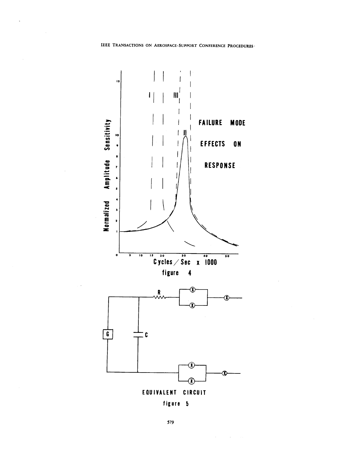$\ddot{\phantom{0}}$ 



figure 5

 $\mathcal{L}^{\text{max}}_{\text{max}}$  and  $\mathcal{L}^{\text{max}}_{\text{max}}$